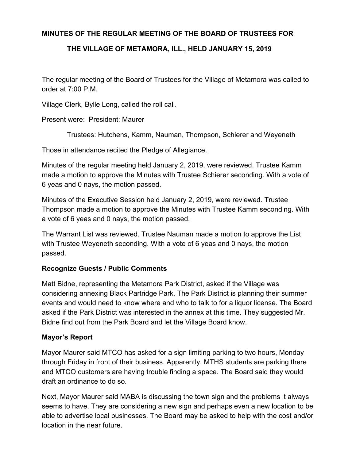## **MINUTES OF THE REGULAR MEETING OF THE BOARD OF TRUSTEES FOR**

## **THE VILLAGE OF METAMORA, ILL., HELD JANUARY 15, 2019**

The regular meeting of the Board of Trustees for the Village of Metamora was called to order at 7:00 P.M.

Village Clerk, Bylle Long, called the roll call.

Present were: President: Maurer

Trustees: Hutchens, Kamm, Nauman, Thompson, Schierer and Weyeneth

Those in attendance recited the Pledge of Allegiance.

Minutes of the regular meeting held January 2, 2019, were reviewed. Trustee Kamm made a motion to approve the Minutes with Trustee Schierer seconding. With a vote of 6 yeas and 0 nays, the motion passed.

Minutes of the Executive Session held January 2, 2019, were reviewed. Trustee Thompson made a motion to approve the Minutes with Trustee Kamm seconding. With a vote of 6 yeas and 0 nays, the motion passed.

The Warrant List was reviewed. Trustee Nauman made a motion to approve the List with Trustee Weyeneth seconding. With a vote of 6 yeas and 0 nays, the motion passed.

## **Recognize Guests / Public Comments**

Matt Bidne, representing the Metamora Park District, asked if the Village was considering annexing Black Partridge Park. The Park District is planning their summer events and would need to know where and who to talk to for a liquor license. The Board asked if the Park District was interested in the annex at this time. They suggested Mr. Bidne find out from the Park Board and let the Village Board know.

#### **Mayor's Report**

Mayor Maurer said MTCO has asked for a sign limiting parking to two hours, Monday through Friday in front of their business. Apparently, MTHS students are parking there and MTCO customers are having trouble finding a space. The Board said they would draft an ordinance to do so.

Next, Mayor Maurer said MABA is discussing the town sign and the problems it always seems to have. They are considering a new sign and perhaps even a new location to be able to advertise local businesses. The Board may be asked to help with the cost and/or location in the near future.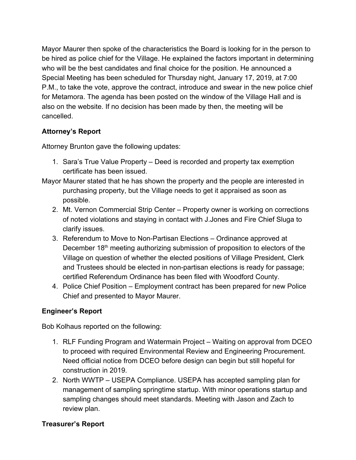Mayor Maurer then spoke of the characteristics the Board is looking for in the person to be hired as police chief for the Village. He explained the factors important in determining who will be the best candidates and final choice for the position. He announced a Special Meeting has been scheduled for Thursday night, January 17, 2019, at 7:00 P.M., to take the vote, approve the contract, introduce and swear in the new police chief for Metamora. The agenda has been posted on the window of the Village Hall and is also on the website. If no decision has been made by then, the meeting will be cancelled.

# **Attorney's Report**

Attorney Brunton gave the following updates:

- 1. Sara's True Value Property Deed is recorded and property tax exemption certificate has been issued.
- Mayor Maurer stated that he has shown the property and the people are interested in purchasing property, but the Village needs to get it appraised as soon as possible.
	- 2. Mt. Vernon Commercial Strip Center Property owner is working on corrections of noted violations and staying in contact with J.Jones and Fire Chief Sluga to clarify issues.
	- 3. Referendum to Move to Non-Partisan Elections Ordinance approved at December 18<sup>th</sup> meeting authorizing submission of proposition to electors of the Village on question of whether the elected positions of Village President, Clerk and Trustees should be elected in non-partisan elections is ready for passage; certified Referendum Ordinance has been filed with Woodford County.
	- 4. Police Chief Position Employment contract has been prepared for new Police Chief and presented to Mayor Maurer.

# **Engineer's Report**

Bob Kolhaus reported on the following:

- 1. RLF Funding Program and Watermain Project Waiting on approval from DCEO to proceed with required Environmental Review and Engineering Procurement. Need official notice from DCEO before design can begin but still hopeful for construction in 2019.
- 2. North WWTP USEPA Compliance. USEPA has accepted sampling plan for management of sampling springtime startup. With minor operations startup and sampling changes should meet standards. Meeting with Jason and Zach to review plan.

# **Treasurer's Report**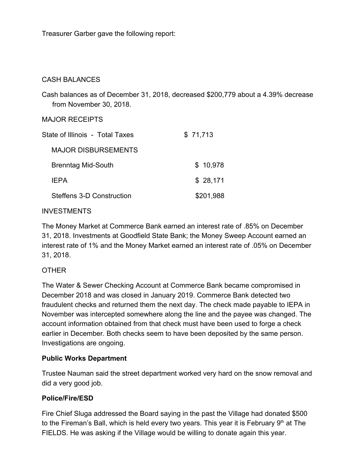Treasurer Garber gave the following report:

## CASH BALANCES

Cash balances as of December 31, 2018, decreased \$200,779 about a 4.39% decrease from November 30, 2018.

#### MAJOR RECEIPTS

| State of Illinois - Total Taxes | \$71,713  |
|---------------------------------|-----------|
| <b>MAJOR DISBURSEMENTS</b>      |           |
| <b>Brenntag Mid-South</b>       | \$10,978  |
| <b>IFPA</b>                     | \$28,171  |
| Steffens 3-D Construction       | \$201,988 |
|                                 |           |

### INVESTMENTS

The Money Market at Commerce Bank earned an interest rate of .85% on December 31, 2018. Investments at Goodfield State Bank; the Money Sweep Account earned an interest rate of 1% and the Money Market earned an interest rate of .05% on December 31, 2018.

## OTHER

The Water & Sewer Checking Account at Commerce Bank became compromised in December 2018 and was closed in January 2019. Commerce Bank detected two fraudulent checks and returned them the next day. The check made payable to IEPA in November was intercepted somewhere along the line and the payee was changed. The account information obtained from that check must have been used to forge a check earlier in December. Both checks seem to have been deposited by the same person. Investigations are ongoing.

## **Public Works Department**

Trustee Nauman said the street department worked very hard on the snow removal and did a very good job.

#### **Police/Fire/ESD**

Fire Chief Sluga addressed the Board saying in the past the Village had donated \$500 to the Fireman's Ball, which is held every two years. This year it is February  $9<sup>th</sup>$  at The FIELDS. He was asking if the Village would be willing to donate again this year.